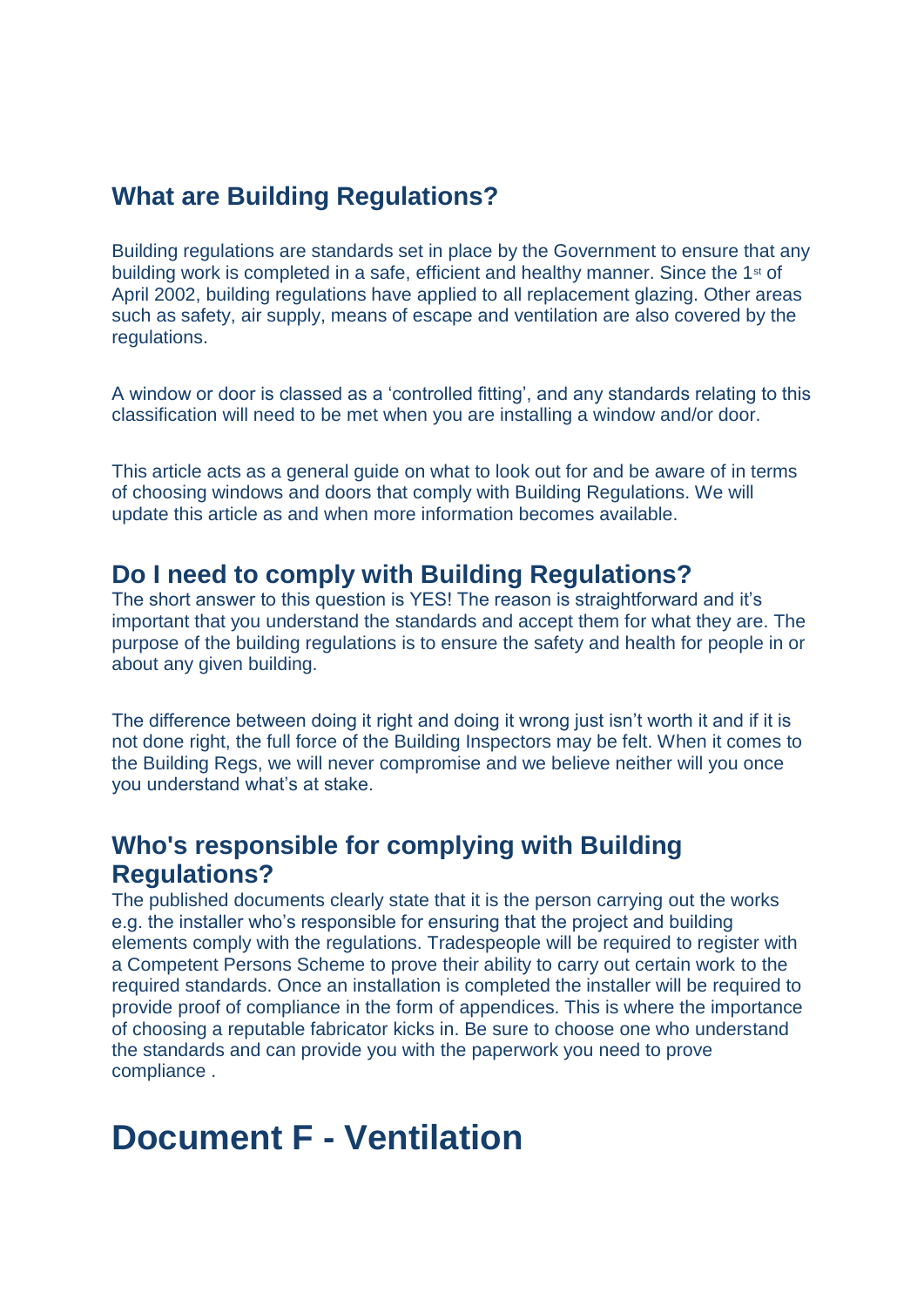### **What are Building Regulations?**

Building regulations are standards set in place by the Government to ensure that any building work is completed in a safe, efficient and healthy manner. Since the 1st of April 2002, building regulations have applied to all replacement glazing. Other areas such as safety, air supply, means of escape and ventilation are also covered by the regulations.

A window or door is classed as a 'controlled fitting', and any standards relating to this classification will need to be met when you are installing a window and/or door.

This article acts as a general guide on what to look out for and be aware of in terms of choosing windows and doors that comply with Building Regulations. We will update this article as and when more information becomes available.

#### **Do I need to comply with Building Regulations?**

The short answer to this question is YES! The reason is straightforward and it's important that you understand the standards and accept them for what they are. The purpose of the building regulations is to ensure the safety and health for people in or about any given building.

The difference between doing it right and doing it wrong just isn't worth it and if it is not done right, the full force of the Building Inspectors may be felt. When it comes to the Building Regs, we will never compromise and we believe neither will you once you understand what's at stake.

#### **Who's responsible for complying with Building Regulations?**

The published documents clearly state that it is the person carrying out the works e.g. the installer who's responsible for ensuring that the project and building elements comply with the regulations. Tradespeople will be required to register with a Competent Persons Scheme to prove their ability to carry out certain work to the required standards. Once an installation is completed the installer will be required to provide proof of compliance in the form of appendices. This is where the importance of choosing a reputable fabricator kicks in. Be sure to choose one who understand the standards and can provide you with the paperwork you need to prove compliance .

# **Document F - Ventilation**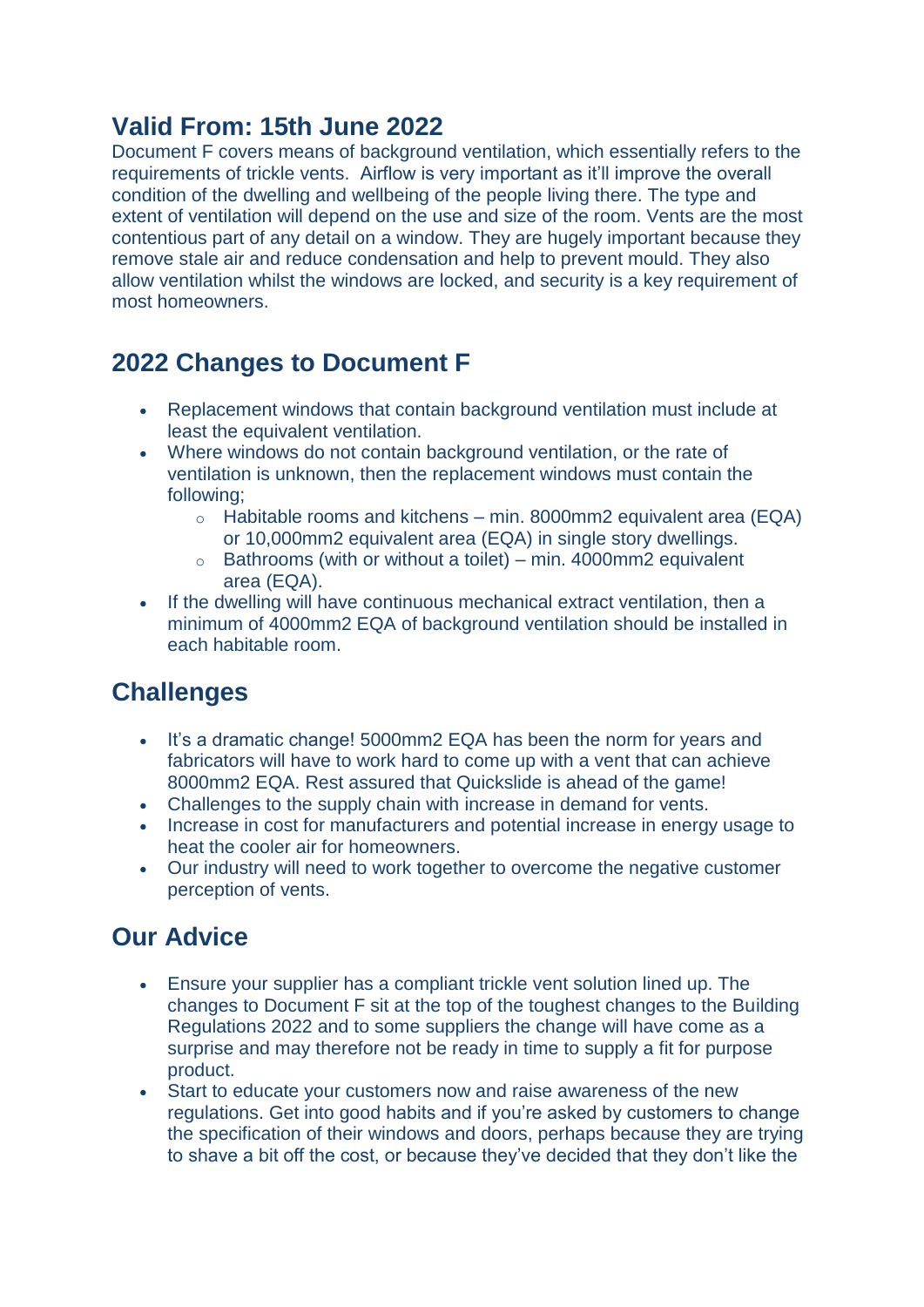### **Valid From: 15th June 2022**

Document F covers means of background ventilation, which essentially refers to the requirements of trickle vents. Airflow is very important as it'll improve the overall condition of the dwelling and wellbeing of the people living there. The type and extent of ventilation will depend on the use and size of the room. Vents are the most contentious part of any detail on a window. They are hugely important because they remove stale air and reduce condensation and help to prevent mould. They also allow ventilation whilst the windows are locked, and security is a key requirement of most homeowners.

# **2022 Changes to Document F**

- Replacement windows that contain background ventilation must include at least the equivalent ventilation.
- Where windows do not contain background ventilation, or the rate of ventilation is unknown, then the replacement windows must contain the following;
	- $\circ$  Habitable rooms and kitchens min. 8000mm2 equivalent area (EQA) or 10,000mm2 equivalent area (EQA) in single story dwellings.
	- $\circ$  Bathrooms (with or without a toilet) min. 4000mm2 equivalent area (EQA).
- If the dwelling will have continuous mechanical extract ventilation, then a minimum of 4000mm2 EQA of background ventilation should be installed in each habitable room.

#### **Challenges**

- It's a dramatic change! 5000mm2 EQA has been the norm for years and fabricators will have to work hard to come up with a vent that can achieve 8000mm2 EQA. Rest assured that Quickslide is ahead of the game!
- Challenges to the supply chain with increase in demand for vents.
- Increase in cost for manufacturers and potential increase in energy usage to heat the cooler air for homeowners.
- Our industry will need to work together to overcome the negative customer perception of vents.

# **Our Advice**

- Ensure your supplier has a compliant trickle vent solution lined up. The changes to Document F sit at the top of the toughest changes to the Building Regulations 2022 and to some suppliers the change will have come as a surprise and may therefore not be ready in time to supply a fit for purpose product.
- Start to educate your customers now and raise awareness of the new regulations. Get into good habits and if you're asked by customers to change the specification of their windows and doors, perhaps because they are trying to shave a bit off the cost, or because they've decided that they don't like the